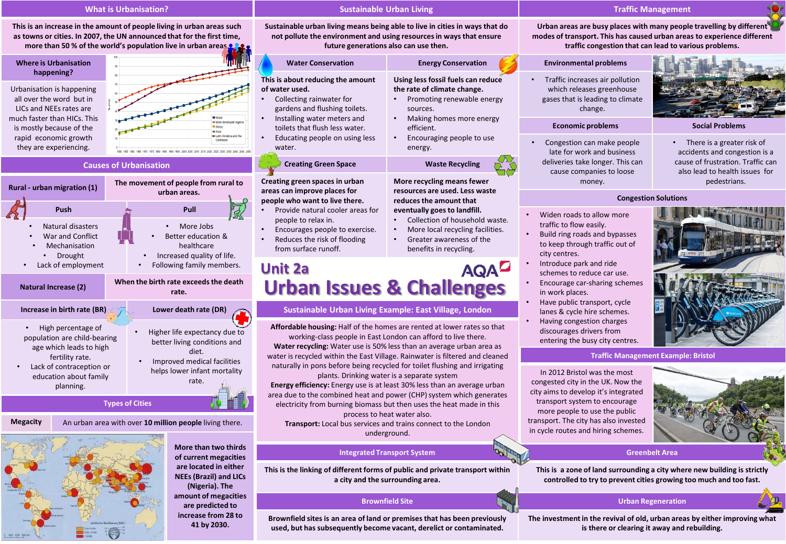## **What is Urbanisation?**

**This is an increase in the amount of people living in urban areas such as towns or cities. In 2007, the UN announced that for the first time, more than 50 % of the world's population live in urban areas.** 

| <b>Where is Urbanisation</b><br>happening?                                                                                                                                                     | 100<br>×<br>M                                                                                                                                   |
|------------------------------------------------------------------------------------------------------------------------------------------------------------------------------------------------|-------------------------------------------------------------------------------------------------------------------------------------------------|
| Urbanisation is happening<br>all over the word but in<br>LICs and NEEs rates are<br>much faster than HICs. This<br>is mostly because of the<br>rapid economic growth<br>they are experiencing. | 70<br>urban<br><b>World</b><br>More developed regions<br><b>PAfrica</b><br>w Asia<br>I alin America and the<br>Caribbear<br>2015 2020 2025 2030 |

## **Causes of Urbanisation**



**Megacity** An urban area with over **10 million people** living there.



**More than two thirds of current megacities are located in either NEEs (Brazil) and LICs (Nigeria). The amount of megacities are predicted to increase from 28 to 41 by 2030.**

## **Sustainable Urban Living**

**Sustainable urban living means being able to live in cities in ways that do not pollute the environment and using resources in ways that ensure future generations also can use then.** 

| <b>Water Conservation</b>                                                                                                                                                                                                                               | <b>Energy Conservation</b>                                                                                                                                                                                              |
|---------------------------------------------------------------------------------------------------------------------------------------------------------------------------------------------------------------------------------------------------------|-------------------------------------------------------------------------------------------------------------------------------------------------------------------------------------------------------------------------|
| This is about reducing the amount<br>of water used.<br>Collecting rainwater for<br>gardens and flushing toilets.<br>Installing water meters and<br>$\bullet$<br>toilets that flush less water.<br>Educating people on using less<br>$\bullet$<br>water. | Using less fossil fuels can reduce<br>the rate of climate change.<br>Promoting renewable energy<br>sources.<br>Making homes more energy<br>efficient.<br>Encouraging people to use<br>energy.                           |
| <b>Creating Green Space</b>                                                                                                                                                                                                                             | <b>Waste Recycling</b>                                                                                                                                                                                                  |
| Creating green spaces in urban<br>areas can improve places for<br>people who want to live there.<br>Provide natural cooler areas for<br>people to relax in.<br>Encourages people to exercise.<br>$\bullet$<br>Reduces the risk of flooding<br>$\bullet$ | More recycling means fewer<br>resources are used. Less waste<br>reduces the amount that<br>eventually goes to landfill.<br>Collection of household wast<br>More local recycling facilities.<br>Greater awareness of the |
| from surface runoff.                                                                                                                                                                                                                                    | benefits in recycling.                                                                                                                                                                                                  |

**This is of wa** 

# **Urban Issues & Challenges Unit 2a**

## **Sustainable Urban Living Example: East Village, London**

**Affordable housing:** Half of the homes are rented at lower rates so that working-class people in East London can afford to live there. **Water recycling:** Water use is 50% less than an average urban area as water is recycled within the East Village. Rainwater is filtered and cleaned naturally in pons before being recycled for toilet flushing and irrigating plants. Drinking water is a separate system **Energy efficiency:** Energy use is at least 30% less than an average urban area due to the combined heat and power (CHP) system which generates electricity from burning biomass but then uses the heat made in this process to heat water also.

**Transport:** Local bus services and trains connect to the London underground.

## **Integrated Transport System Greenbelt Area**

**This is the linking of different forms of public and private transport within a city and the surrounding area.** 

**Brownfield sites is an area of land or premises that has been previously used, but has subsequently become vacant, derelict or contaminated.** 

## **Traffic Management**

**Urban areas are busy places with many people travelling by different modes of transport. This has caused urban areas to experience different traffic congestion that can lead to various problems.** 

# **Environmental problems**

• Traffic increases air pollution which releases greenhouse gases that is leading to climate change.

### **Economic problems Social Problems**

- Congestion can make people late for work and business deliveries take longer. This can cause companies to loose money.
- 

• There is a greater risk of accidents and congestion is a cause of frustration. Traffic can also lead to health issues for pedestrians.

## **Congestion Solutions**



### **Traffic Management Example: Bristol**

In 2012 Bristol was the most congested city in the UK. Now the city aims to develop it's integrated transport system to encourage more people to use the public transport. The city has also invested in cycle routes and hiring schemes.



**This is a zone of land surrounding a city where new building is strictly controlled to try to prevent cities growing too much and too fast.**

## **Brownfield Site Urban Regeneration**

**The investment in the revival of old, urban areas by either improving what is there or clearing it away and rebuilding.**

dfill. ehold waste. g facilities. of the • Widen roads to allow more

- traffic to flow easily. • Build ring roads and bypasses
	- to keep through traffic out of city centres.
	- Introduce park and ride schemes to reduce car use.
	- Encourage car-sharing schemes in work places.
	- Have public transport, cycle lanes & cycle hire schemes.
	- Having congestion charges discourages drivers from entering the busy city centres.